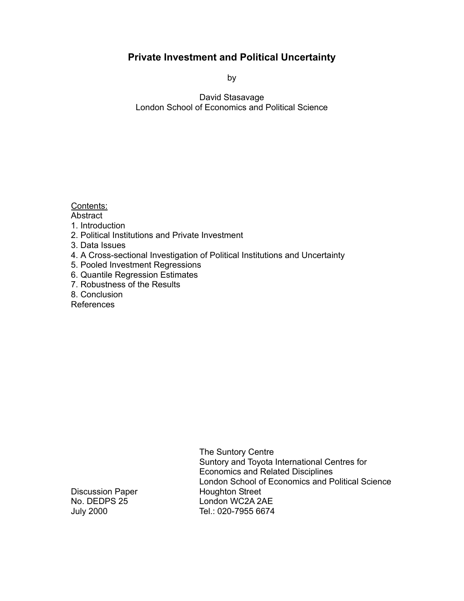### **Private Investment and Political Uncertainty**

by

David Stasavage London School of Economics and Political Science

Contents:

**Abstract** 

- 1. Introduction
- 2. Political Institutions and Private Investment
- 3. Data Issues
- 4. A Cross-sectional Investigation of Political Institutions and Uncertainty
- 5. Pooled Investment Regressions
- 6. Quantile Regression Estimates
- 7. Robustness of the Results
- 8. Conclusion

References

The Suntory Centre Suntory and Toyota International Centres for Economics and Related Disciplines London School of Economics and Political Science No. DEDPS 25 London WC2A 2AE July 2000 Tel.: 020-7955 6674

Discussion Paper Houghton Street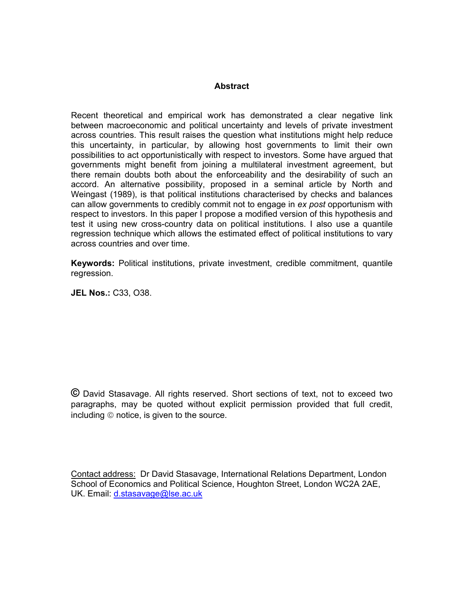#### **Abstract**

Recent theoretical and empirical work has demonstrated a clear negative link between macroeconomic and political uncertainty and levels of private investment across countries. This result raises the question what institutions might help reduce this uncertainty, in particular, by allowing host governments to limit their own possibilities to act opportunistically with respect to investors. Some have argued that governments might benefit from joining a multilateral investment agreement, but there remain doubts both about the enforceability and the desirability of such an accord. An alternative possibility, proposed in a seminal article by North and Weingast (1989), is that political institutions characterised by checks and balances can allow governments to credibly commit not to engage in *ex post* opportunism with respect to investors. In this paper I propose a modified version of this hypothesis and test it using new cross-country data on political institutions. I also use a quantile regression technique which allows the estimated effect of political institutions to vary across countries and over time.

**Keywords:** Political institutions, private investment, credible commitment, quantile regression.

**JEL Nos.:** C33, O38.

**©** David Stasavage. All rights reserved. Short sections of text, not to exceed two paragraphs, may be quoted without explicit permission provided that full credit,  $includ$ including  $\odot$  notice, is given to the source.

Contact address: Dr David Stasavage, International Relations Department, London School of Economics and Political Science, Houghton Street, London WC2A 2AE, UK. Email: d.stasavage@lse.ac.uk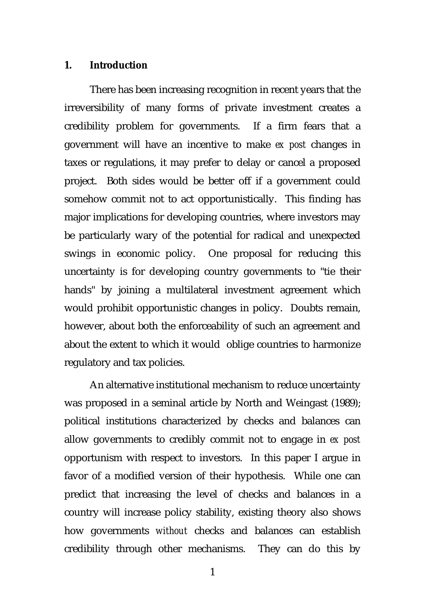#### **1. Introduction**

There has been increasing recognition in recent years that the irreversibility of many forms of private investment creates a credibility problem for governments. If a firm fears that a government will have an incentive to make *ex post* changes in taxes or regulations, it may prefer to delay or cancel a proposed project. Both sides would be better off if a government could somehow commit not to act opportunistically. This finding has major implications for developing countries, where investors may be particularly wary of the potential for radical and unexpected swings in economic policy. One proposal for reducing this uncertainty is for developing country governments to "tie their hands" by joining a multilateral investment agreement which would prohibit opportunistic changes in policy. Doubts remain, however, about both the enforceability of such an agreement and about the extent to which it would oblige countries to harmonize regulatory and tax policies.

An alternative institutional mechanism to reduce uncertainty was proposed in a seminal article by North and Weingast (1989); political institutions characterized by checks and balances can allow governments to credibly commit not to engage in *ex post* opportunism with respect to investors. In this paper I argue in favor of a modified version of their hypothesis. While one can predict that increasing the level of checks and balances in a country will increase policy stability, existing theory also shows how governments *without* checks and balances can establish credibility through other mechanisms. They can do this by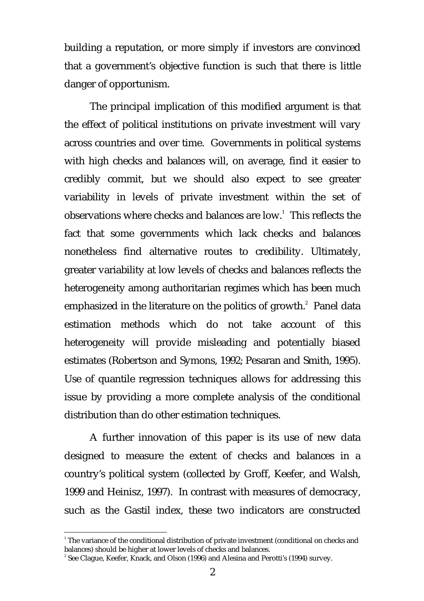building a reputation, or more simply if investors are convinced that a government's objective function is such that there is little danger of opportunism.

The principal implication of this modified argument is that the effect of political institutions on private investment will vary across countries and over time. Governments in political systems with high checks and balances will, on average, find it easier to credibly commit, but we should also expect to see greater variability in levels of private investment within the set of observations where checks and balances are low.<sup>1</sup> This reflects the fact that some governments which lack checks and balances nonetheless find alternative routes to credibility. Ultimately, greater variability at low levels of checks and balances reflects the heterogeneity among authoritarian regimes which has been much emphasized in the literature on the politics of growth. $^{2}$  Panel data estimation methods which do not take account of this heterogeneity will provide misleading and potentially biased estimates (Robertson and Symons, 1992; Pesaran and Smith, 1995). Use of quantile regression techniques allows for addressing this issue by providing a more complete analysis of the conditional distribution than do other estimation techniques.

A further innovation of this paper is its use of new data designed to measure the extent of checks and balances in a country's political system (collected by Groff, Keefer, and Walsh, 1999 and Heinisz, 1997). In contrast with measures of democracy, such as the Gastil index, these two indicators are constructed

 $^1$  The variance of the conditional distribution of private investment (conditional on checks and balances) should be higher at lower levels of checks and balances.

<sup>2</sup> See Clague, Keefer, Knack, and Olson (1996) and Alesina and Perotti's (1994) survey.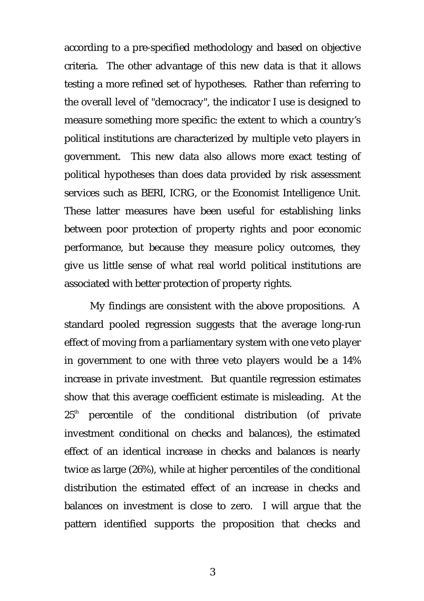according to a pre-specified methodology and based on objective criteria. The other advantage of this new data is that it allows testing a more refined set of hypotheses. Rather than referring to the overall level of "democracy", the indicator I use is designed to measure something more specific: the extent to which a country's political institutions are characterized by multiple veto players in government. This new data also allows more exact testing of political hypotheses than does data provided by risk assessment services such as BERI, ICRG, or the Economist Intelligence Unit. These latter measures have been useful for establishing links between poor protection of property rights and poor economic performance, but because they measure policy outcomes, they give us little sense of what real world political institutions are associated with better protection of property rights.

My findings are consistent with the above propositions. A standard pooled regression suggests that the average long-run effect of moving from a parliamentary system with one veto player in government to one with three veto players would be a 14% increase in private investment. But quantile regression estimates show that this average coefficient estimate is misleading. At the  $25<sup>th</sup>$  percentile of the conditional distribution (of private investment conditional on checks and balances), the estimated effect of an identical increase in checks and balances is nearly twice as large (26%), while at higher percentiles of the conditional distribution the estimated effect of an increase in checks and balances on investment is close to zero. I will argue that the pattern identified supports the proposition that checks and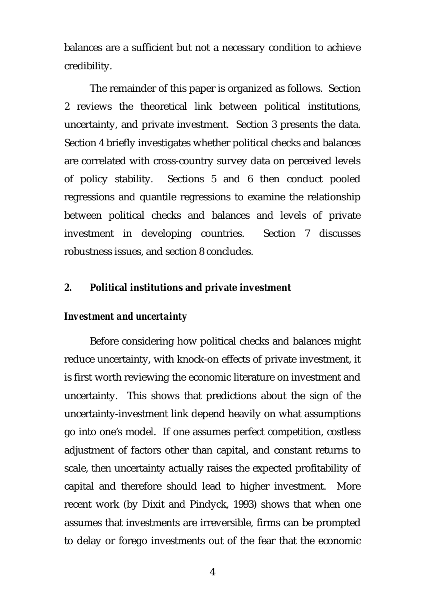balances are a sufficient but not a necessary condition to achieve credibility.

The remainder of this paper is organized as follows. Section 2 reviews the theoretical link between political institutions, uncertainty, and private investment. Section 3 presents the data. Section 4 briefly investigates whether political checks and balances are correlated with cross-country survey data on perceived levels of policy stability. Sections 5 and 6 then conduct pooled regressions and quantile regressions to examine the relationship between political checks and balances and levels of private investment in developing countries. Section 7 discusses robustness issues, and section 8 concludes.

### **2. Political institutions and private investment**

### *Investment and uncertainty*

Before considering how political checks and balances might reduce uncertainty, with knock-on effects of private investment, it is first worth reviewing the economic literature on investment and uncertainty. This shows that predictions about the sign of the uncertainty-investment link depend heavily on what assumptions go into one's model. If one assumes perfect competition, costless adjustment of factors other than capital, and constant returns to scale, then uncertainty actually raises the expected profitability of capital and therefore should lead to higher investment. More recent work (by Dixit and Pindyck, 1993) shows that when one assumes that investments are irreversible, firms can be prompted to delay or forego investments out of the fear that the economic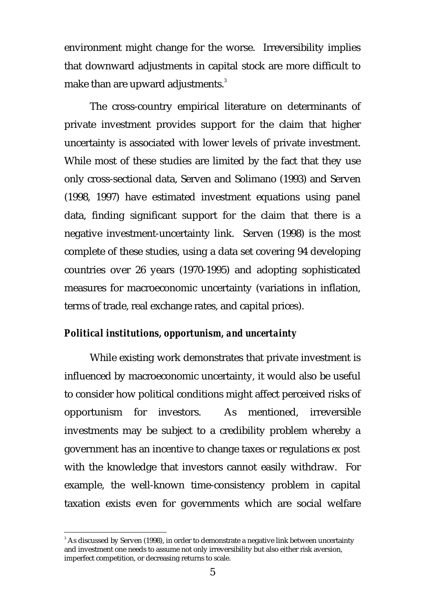environment might change for the worse. Irreversibility implies that downward adjustments in capital stock are more difficult to make than are upward adjustments.<sup>3</sup>

The cross-country empirical literature on determinants of private investment provides support for the claim that higher uncertainty is associated with lower levels of private investment. While most of these studies are limited by the fact that they use only cross-sectional data, Serven and Solimano (1993) and Serven (1998, 1997) have estimated investment equations using panel data, finding significant support for the claim that there is a negative investment-uncertainty link. Serven (1998) is the most complete of these studies, using a data set covering 94 developing countries over 26 years (1970-1995) and adopting sophisticated measures for macroeconomic uncertainty (variations in inflation, terms of trade, real exchange rates, and capital prices).

### *Political institutions, opportunism, and uncertainty*

While existing work demonstrates that private investment is influenced by macroeconomic uncertainty, it would also be useful to consider how political conditions might affect perceived risks of opportunism for investors. As mentioned, irreversible investments may be subject to a credibility problem whereby a government has an incentive to change taxes or regulations *ex post* with the knowledge that investors cannot easily withdraw. For example, the well-known time-consistency problem in capital taxation exists even for governments which are social welfare

 $\,^3$  As discussed by Serven (1998), in order to demonstrate a negative link between uncertainty and investment one needs to assume not only irreversibility but also either risk aversion, imperfect competition, or decreasing returns to scale.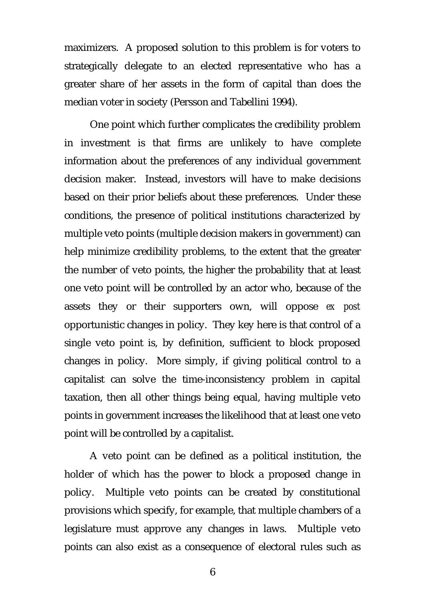maximizers. A proposed solution to this problem is for voters to strategically delegate to an elected representative who has a greater share of her assets in the form of capital than does the median voter in society (Persson and Tabellini 1994).

One point which further complicates the credibility problem in investment is that firms are unlikely to have complete information about the preferences of any individual government decision maker. Instead, investors will have to make decisions based on their prior beliefs about these preferences. Under these conditions, the presence of political institutions characterized by multiple veto points (multiple decision makers in government) can help minimize credibility problems, to the extent that the greater the number of veto points, the higher the probability that at least one veto point will be controlled by an actor who, because of the assets they or their supporters own, will oppose *ex post* opportunistic changes in policy. They key here is that control of a single veto point is, by definition, sufficient to block proposed changes in policy. More simply, if giving political control to a capitalist can solve the time-inconsistency problem in capital taxation, then all other things being equal, having multiple veto points in government increases the likelihood that at least one veto point will be controlled by a capitalist.

A veto point can be defined as a political institution, the holder of which has the power to block a proposed change in policy. Multiple veto points can be created by constitutional provisions which specify, for example, that multiple chambers of a legislature must approve any changes in laws. Multiple veto points can also exist as a consequence of electoral rules such as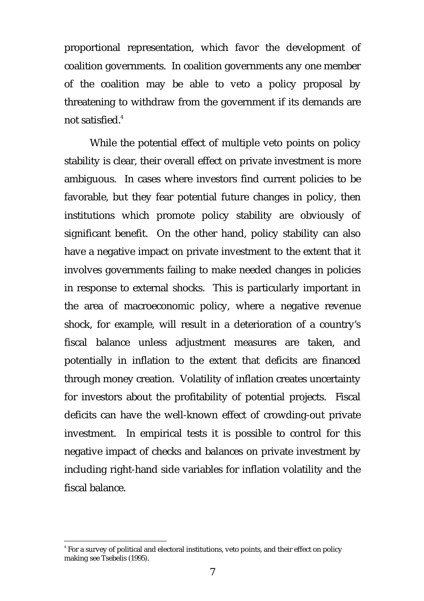proportional representation, which favor the development of coalition governments. In coalition governments any one member of the coalition may be able to veto a policy proposal by threatening to withdraw from the government if its demands are not satisfied. $4$ 

While the potential effect of multiple veto points on policy stability is clear, their overall effect on private investment is more ambiguous. In cases where investors find current policies to be favorable, but they fear potential future changes in policy, then institutions which promote policy stability are obviously of significant benefit. On the other hand, policy stability can also have a negative impact on private investment to the extent that it involves governments failing to make needed changes in policies in response to external shocks. This is particularly important in the area of macroeconomic policy, where a negative revenue shock, for example, will result in a deterioration of a country's fiscal balance unless adjustment measures are taken, and potentially in inflation to the extent that deficits are financed through money creation. Volatility of inflation creates uncertainty for investors about the profitability of potential projects. Fiscal deficits can have the well-known effect of crowding-out private investment. In empirical tests it is possible to control for this negative impact of checks and balances on private investment by including right-hand side variables for inflation volatility and the fiscal balance.

 $\rm ^4$  For a survey of political and electoral institutions, veto points, and their effect on policy making see Tsebelis (1995).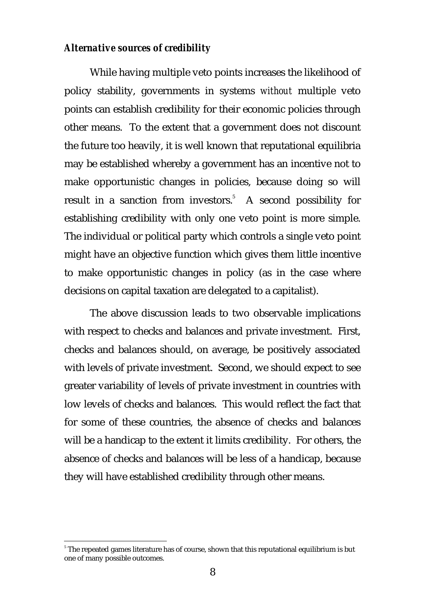### *Alternative sources of credibility*

While having multiple veto points increases the likelihood of policy stability, governments in systems *without* multiple veto points can establish credibility for their economic policies through other means. To the extent that a government does not discount the future too heavily, it is well known that reputational equilibria may be established whereby a government has an incentive not to make opportunistic changes in policies, because doing so will result in a sanction from investors.<sup>5</sup> A second possibility for establishing credibility with only one veto point is more simple. The individual or political party which controls a single veto point might have an objective function which gives them little incentive to make opportunistic changes in policy (as in the case where decisions on capital taxation are delegated to a capitalist).

The above discussion leads to two observable implications with respect to checks and balances and private investment. First, checks and balances should, on average, be positively associated with levels of private investment. Second, we should expect to see greater variability of levels of private investment in countries with low levels of checks and balances. This would reflect the fact that for some of these countries, the absence of checks and balances will be a handicap to the extent it limits credibility. For others, the absence of checks and balances will be less of a handicap, because they will have established credibility through other means.

 $^{\circ}$  The repeated games literature has of course, shown that this reputational equilibrium is but one of many possible outcomes.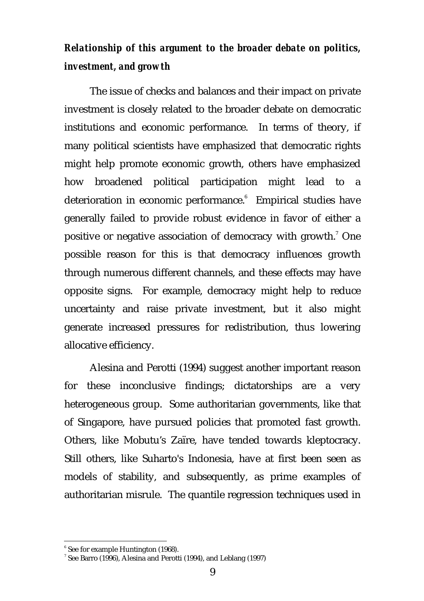# *Relationship of this argument to the broader debate on politics, investment, and growth*

The issue of checks and balances and their impact on private investment is closely related to the broader debate on democratic institutions and economic performance. In terms of theory, if many political scientists have emphasized that democratic rights might help promote economic growth, others have emphasized how broadened political participation might lead to a deterioration in economic performance. Empirical studies have generally failed to provide robust evidence in favor of either a positive or negative association of democracy with growth. $^{\prime}$  One possible reason for this is that democracy influences growth through numerous different channels, and these effects may have opposite signs. For example, democracy might help to reduce uncertainty and raise private investment, but it also might generate increased pressures for redistribution, thus lowering allocative efficiency.

Alesina and Perotti (1994) suggest another important reason for these inconclusive findings; dictatorships are a very heterogeneous group. Some authoritarian governments, like that of Singapore, have pursued policies that promoted fast growth. Others, like Mobutu's Zaïre, have tended towards kleptocracy. Still others, like Suharto's Indonesia, have at first been seen as models of stability, and subsequently, as prime examples of authoritarian misrule. The quantile regression techniques used in

<sup>6</sup> See for example Huntington (1968).

See Barro (1996), Alesina and Perotti (1994), and Leblang (1997)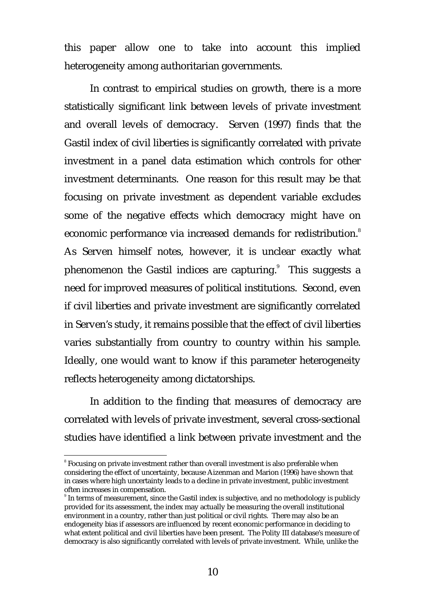this paper allow one to take into account this implied heterogeneity among authoritarian governments.

In contrast to empirical studies on growth, there is a more statistically significant link between levels of private investment and overall levels of democracy. Serven (1997) finds that the Gastil index of civil liberties is significantly correlated with private investment in a panel data estimation which controls for other investment determinants. One reason for this result may be that focusing on private investment as dependent variable excludes some of the negative effects which democracy might have on economic performance via increased demands for redistribution.<sup>8</sup> As Serven himself notes, however, it is unclear exactly what phenomenon the Gastil indices are capturing.<sup>9</sup> This suggests a need for improved measures of political institutions. Second, even if civil liberties and private investment are significantly correlated in Serven's study, it remains possible that the effect of civil liberties varies substantially from country to country within his sample. Ideally, one would want to know if this parameter heterogeneity reflects heterogeneity among dictatorships.

In addition to the finding that measures of democracy are correlated with levels of private investment, several cross-sectional studies have identified a link between private investment and the

<u> Andrew Maria (1989)</u>

 $\,^{\circ}$  Focusing on private investment rather than overall investment is also preferable when considering the effect of uncertainty, because Aizenman and Marion (1996) have shown that in cases where high uncertainty leads to a decline in private investment, public investment often increases in compensation.

 $^{\circ}$  In terms of measurement, since the Gastil index is subjective, and no methodology is publicly provided for its assessment, the index may actually be measuring the overall institutional environment in a country, rather than just political or civil rights. There may also be an endogeneity bias if assessors are influenced by recent economic performance in deciding to what extent political and civil liberties have been present. The Polity III database's measure of democracy is also significantly correlated with levels of private investment. While, unlike the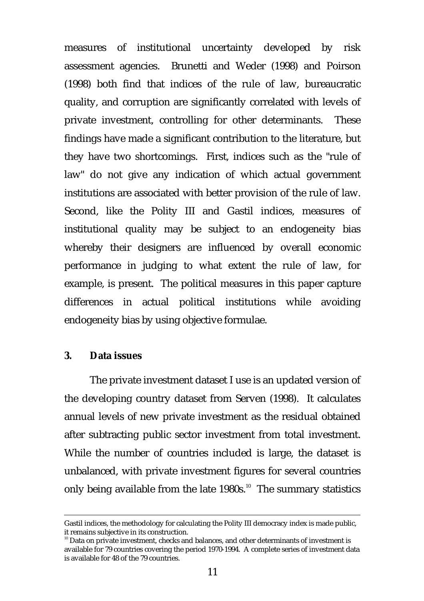measures of institutional uncertainty developed by risk assessment agencies. Brunetti and Weder (1998) and Poirson (1998) both find that indices of the rule of law, bureaucratic quality, and corruption are significantly correlated with levels of private investment, controlling for other determinants. These findings have made a significant contribution to the literature, but they have two shortcomings. First, indices such as the "rule of law" do not give any indication of which actual government institutions are associated with better provision of the rule of law. Second, like the Polity III and Gastil indices, measures of institutional quality may be subject to an endogeneity bias whereby their designers are influenced by overall economic performance in judging to what extent the rule of law, for example, is present. The political measures in this paper capture differences in actual political institutions while avoiding endogeneity bias by using objective formulae.

### **3. Data issues**

The private investment dataset I use is an updated version of the developing country dataset from Serven (1998). It calculates annual levels of new private investment as the residual obtained after subtracting public sector investment from total investment. While the number of countries included is large, the dataset is unbalanced, with private investment figures for several countries only being available from the late  $1980s$ .<sup>10</sup> The summary statistics

<sup>&</sup>lt;u> Alexandro de la contrada de la contrada de la contrada de la contrada de la contrada de la contrada de la co</u> Gastil indices, the methodology for calculating the Polity III democracy index is made public, it remains subjective in its construction.

 $10$  Data on private investment, checks and balances, and other determinants of investment is available for 79 countries covering the period 1970-1994. A complete series of investment data is available for 48 of the 79 countries.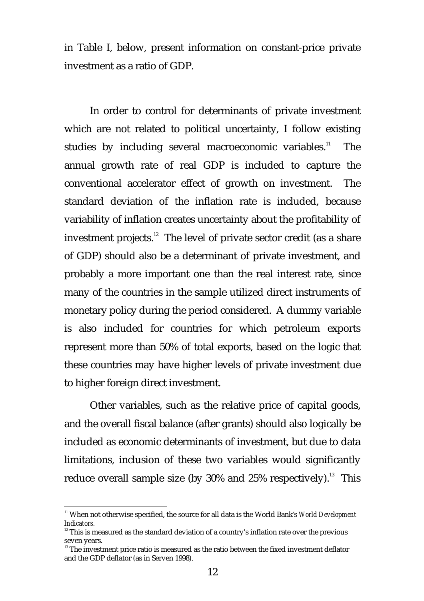in Table I, below, present information on constant-price private investment as a ratio of GDP.

In order to control for determinants of private investment which are not related to political uncertainty, I follow existing studies by including several macroeconomic variables. $11$  The annual growth rate of real GDP is included to capture the conventional accelerator effect of growth on investment. The standard deviation of the inflation rate is included, because variability of inflation creates uncertainty about the profitability of investment projects. $12$  The level of private sector credit (as a share of GDP) should also be a determinant of private investment, and probably a more important one than the real interest rate, since many of the countries in the sample utilized direct instruments of monetary policy during the period considered. A dummy variable is also included for countries for which petroleum exports represent more than 50% of total exports, based on the logic that these countries may have higher levels of private investment due to higher foreign direct investment.

Other variables, such as the relative price of capital goods, and the overall fiscal balance (after grants) should also logically be included as economic determinants of investment, but due to data limitations, inclusion of these two variables would significantly reduce overall sample size (by  $30\%$  and  $25\%$  respectively).<sup>13</sup> This

<sup>&</sup>lt;sup>11</sup> When not otherwise specified, the source for all data is the World Bank's *World Development Indicators.*

 $12$ <sup>12</sup> This is measured as the standard deviation of a country's inflation rate over the previous seven years.

<sup>&</sup>lt;sup>13</sup> The investment price ratio is measured as the ratio between the fixed investment deflator and the GDP deflator (as in Serven 1998).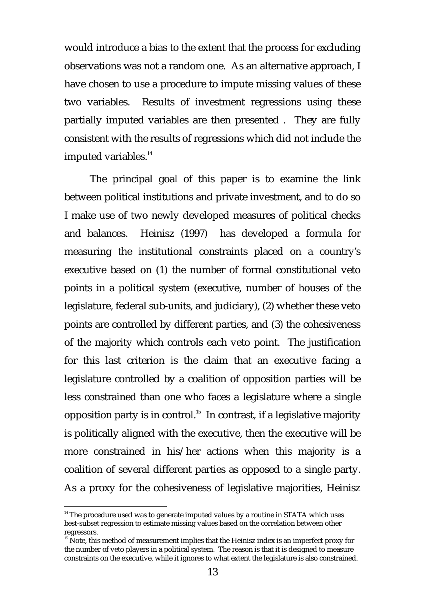would introduce a bias to the extent that the process for excluding observations was not a random one. As an alternative approach, I have chosen to use a procedure to impute missing values of these two variables. Results of investment regressions using these partially imputed variables are then presented . They are fully consistent with the results of regressions which did not include the imputed variables.<sup>14</sup>

The principal goal of this paper is to examine the link between political institutions and private investment, and to do so I make use of two newly developed measures of political checks and balances. Heinisz (1997) has developed a formula for measuring the institutional constraints placed on a country's executive based on (1) the number of formal constitutional veto points in a political system (executive, number of houses of the legislature, federal sub-units, and judiciary), (2) whether these veto points are controlled by different parties, and (3) the cohesiveness of the majority which controls each veto point. The justification for this last criterion is the claim that an executive facing a legislature controlled by a coalition of opposition parties will be less constrained than one who faces a legislature where a single opposition party is in control.<sup>15</sup> In contrast, if a legislative majority is politically aligned with the executive, then the executive will be more constrained in his/her actions when this majority is a coalition of several different parties as opposed to a single party. As a proxy for the cohesiveness of legislative majorities, Heinisz

<sup>&</sup>lt;sup>14</sup> The procedure used was to generate imputed values by a routine in STATA which uses best-subset regression to estimate missing values based on the correlation between other regressors.

<sup>&</sup>lt;sup>15</sup> Note, this method of measurement implies that the Heinisz index is an imperfect proxy for the number of veto players in a political system. The reason is that it is designed to measure constraints on the executive, while it ignores to what extent the legislature is also constrained.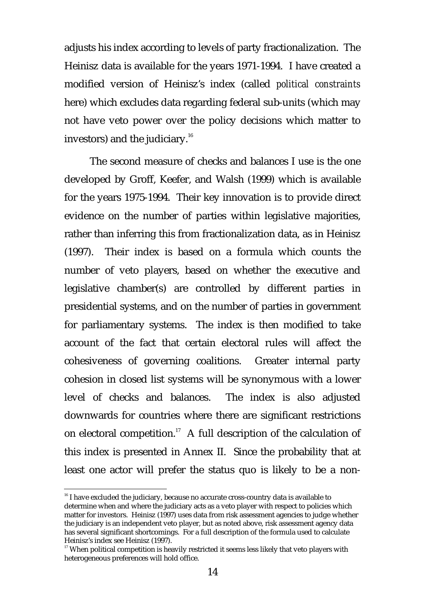adjusts his index according to levels of party fractionalization. The Heinisz data is available for the years 1971-1994. I have created a modified version of Heinisz's index (called *political constraints* here) which excludes data regarding federal sub-units (which may not have veto power over the policy decisions which matter to investors) and the judiciary. $16$ 

The second measure of checks and balances I use is the one developed by Groff, Keefer, and Walsh (1999) which is available for the years 1975-1994. Their key innovation is to provide direct evidence on the number of parties within legislative majorities, rather than inferring this from fractionalization data, as in Heinisz (1997). Their index is based on a formula which counts the number of veto players, based on whether the executive and legislative chamber(s) are controlled by different parties in presidential systems, and on the number of parties in government for parliamentary systems. The index is then modified to take account of the fact that certain electoral rules will affect the cohesiveness of governing coalitions. Greater internal party cohesion in closed list systems will be synonymous with a lower level of checks and balances. The index is also adjusted downwards for countries where there are significant restrictions on electoral competition.<sup>17</sup> A full description of the calculation of this index is presented in Annex II. Since the probability that at least one actor will prefer the status quo is likely to be a non-

<sup>&</sup>lt;sup>16</sup> I have excluded the judiciary, because no accurate cross-country data is available to determine when and where the judiciary acts as a veto player with respect to policies which matter for investors. Heinisz (1997) uses data from risk assessment agencies to judge whether the judiciary is an independent veto player, but as noted above, risk assessment agency data has several significant shortcomings. For a full description of the formula used to calculate Heinisz's index see Heinisz (1997).

<sup>&</sup>lt;sup>17</sup> When political competition is heavily restricted it seems less likely that veto players with heterogeneous preferences will hold office.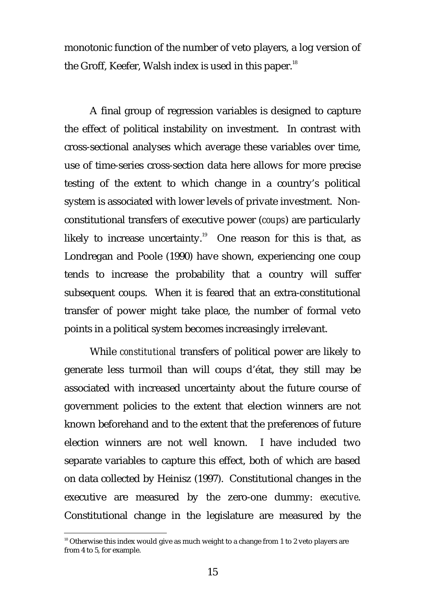monotonic function of the number of veto players, a log version of the Groff, Keefer, Walsh index is used in this paper.<sup>18</sup>

A final group of regression variables is designed to capture the effect of political instability on investment. In contrast with cross-sectional analyses which average these variables over time, use of time-series cross-section data here allows for more precise testing of the extent to which change in a country's political system is associated with lower levels of private investment. Nonconstitutional transfers of executive power (*coups*) are particularly likely to increase uncertainty.<sup>19</sup> One reason for this is that, as Londregan and Poole (1990) have shown, experiencing one coup tends to increase the probability that a country will suffer subsequent coups. When it is feared that an extra-constitutional transfer of power might take place, the number of formal veto points in a political system becomes increasingly irrelevant.

While *constitutional* transfers of political power are likely to generate less turmoil than will coups d'état, they still may be associated with increased uncertainty about the future course of government policies to the extent that election winners are not known beforehand and to the extent that the preferences of future election winners are not well known. I have included two separate variables to capture this effect, both of which are based on data collected by Heinisz (1997). Constitutional changes in the executive are measured by the zero-one dummy: *executive*. Constitutional change in the legislature are measured by the

<sup>&</sup>lt;sup>18</sup> Otherwise this index would give as much weight to a change from 1 to 2 veto players are from 4 to 5, for example.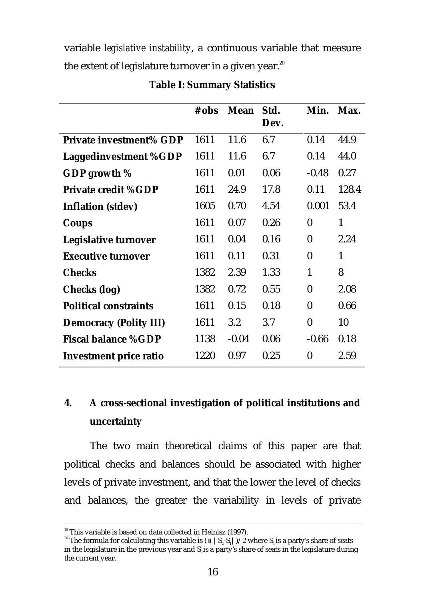variable *legislative instability*, a continuous variable that measure the extent of legislature turnover in a given year.<sup>20</sup>

|                               | # obs | <b>Mean</b> | Std.<br>Dev. | Min.         | Max.         |
|-------------------------------|-------|-------------|--------------|--------------|--------------|
| Private investment% GDP       | 1611  | 11.6        | 6.7          | 0.14         | 44.9         |
| <b>Laggedinvestment %GDP</b>  | 1611  | 11.6        | 6.7          | 0.14         | 44.0         |
| GDP growth $%$                | 1611  | 0.01        | 0.06         | $-0.48$      | 0.27         |
| <b>Private credit %GDP</b>    | 1611  | 24.9        | 17.8         | 0.11         | 128.4        |
| <b>Inflation</b> (stdev)      | 1605  | 0.70        | 4.54         | 0.001        | 53.4         |
| Coups                         | 1611  | 0.07        | 0.26         | $\mathbf{0}$ | $\mathbf{1}$ |
| Legislative turnover          | 1611  | 0.04        | 0.16         | $\bf{0}$     | 2.24         |
| <b>Executive turnover</b>     | 1611  | 0.11        | 0.31         | $\bf{0}$     | $\mathbf{1}$ |
| <b>Checks</b>                 | 1382  | 2.39        | 1.33         | $\mathbf{1}$ | 8            |
| Checks (log)                  | 1382  | 0.72        | 0.55         | $\bf{0}$     | 2.08         |
| <b>Political constraints</b>  | 1611  | 0.15        | 0.18         | $\bf{0}$     | 0.66         |
| <b>Democracy (Polity III)</b> | 1611  | 3.2         | 3.7          | $\mathbf{0}$ | 10           |
| <b>Fiscal balance %GDP</b>    | 1138  | $-0.04$     | 0.06         | $-0.66$      | 0.18         |
| <b>Investment price ratio</b> | 1220  | 0.97        | 0.25         | $\bf{0}$     | 2.59         |

### **Table I: Summary Statistics**

# **4. A cross-sectional investigation of political institutions and uncertainty**

The two main theoretical claims of this paper are that political checks and balances should be associated with higher levels of private investment, and that the lower the level of checks and balances, the greater the variability in levels of private

<u> Andreas Andreas Andreas Andreas Andreas Andreas Andreas Andreas Andreas Andreas Andreas Andreas Andreas Andr</u>

 $19$  This variable is based on data collected in Heinisz (1997).

 $^{20}$  The formula for calculating this variable is ( II  $\,|$  S<sub>2</sub>-S<sub>1</sub>])/2 where S<sub>1</sub> is a party's share of seats in the legislature in the previous year and  $S<sub>2</sub>$  is a party's share of seats in the legislature during the current year.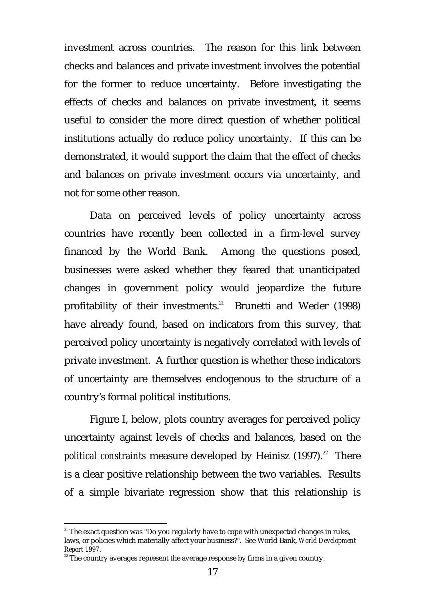investment across countries. The reason for this link between checks and balances and private investment involves the potential for the former to reduce uncertainty. Before investigating the effects of checks and balances on private investment, it seems useful to consider the more direct question of whether political institutions actually do reduce policy uncertainty. If this can be demonstrated, it would support the claim that the effect of checks and balances on private investment occurs via uncertainty, and not for some other reason.

Data on perceived levels of policy uncertainty across countries have recently been collected in a firm-level survey financed by the World Bank. Among the questions posed, businesses were asked whether they feared that unanticipated changes in government policy would jeopardize the future profitability of their investments.<sup>21</sup> Brunetti and Weder (1998) have already found, based on indicators from this survey, that perceived policy uncertainty is negatively correlated with levels of private investment. A further question is whether these indicators of uncertainty are themselves endogenous to the structure of a country's formal political institutions.

Figure I, below, plots country averages for perceived policy uncertainty against levels of checks and balances, based on the *political constraints* measure developed by Heinisz (1997).<sup>22</sup> There is a clear positive relationship between the two variables. Results of a simple bivariate regression show that this relationship is

<sup>&</sup>lt;sup>21</sup> The exact question was "Do you regularly have to cope with unexpected changes in rules, laws, or policies which materially affect your business?". See World Bank, *World Development Report 1997*.

 $22$ <sup>22</sup> The country averages represent the average response by firms in a given country.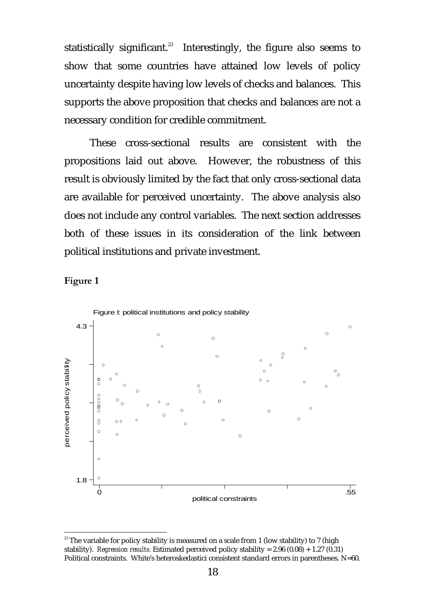statistically significant.<sup>23</sup> Interestingly, the figure also seems to show that some countries have attained low levels of policy uncertainty despite having low levels of checks and balances. This supports the above proposition that checks and balances are not a necessary condition for credible commitment.

These cross-sectional results are consistent with the propositions laid out above. However, the robustness of this result is obviously limited by the fact that only cross-sectional data are available for perceived uncertainty. The above analysis also does not include any control variables. The next section addresses both of these issues in its consideration of the link between political institutions and private investment.





 $23$ <sup>23</sup> The variable for policy stability is measured on a scale from 1 (low stability) to 7 (high stability). *Regression results:* Estimated perceived policy stability = 2.96 (0.08) + 1.27 (0.31) Political constraints. White's heteroskedastici consistent standard errors in parentheses. N=60.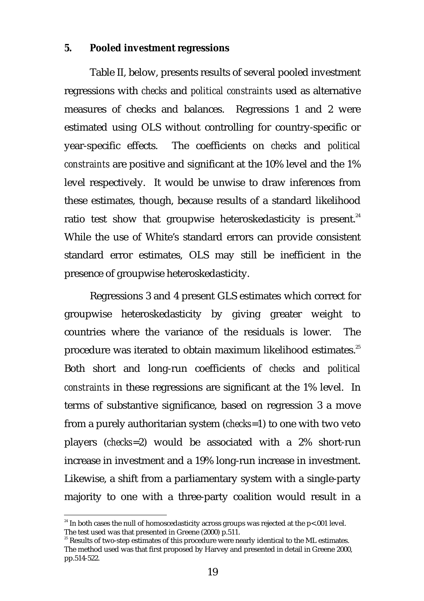### **5. Pooled investment regressions**

Table II, below, presents results of several pooled investment regressions with *checks* and *political constraints* used as alternative measures of checks and balances. Regressions 1 and 2 were estimated using OLS without controlling for country-specific or year-specific effects. The coefficients on *checks* and *political constraints* are positive and significant at the 10% level and the 1% level respectively. It would be unwise to draw inferences from these estimates, though, because results of a standard likelihood ratio test show that groupwise heteroskedasticity is present.<sup>24</sup> While the use of White's standard errors can provide consistent standard error estimates, OLS may still be inefficient in the presence of groupwise heteroskedasticity.

Regressions 3 and 4 present GLS estimates which correct for groupwise heteroskedasticity by giving greater weight to countries where the variance of the residuals is lower. The procedure was iterated to obtain maximum likelihood estimates.<sup>25</sup> Both short and long-run coefficients of *checks* and *political constraints* in these regressions are significant at the 1% level. In terms of substantive significance, based on regression 3 a move from a purely authoritarian system (*checks*=1) to one with two veto players (*checks*=2) would be associated with a 2% short-run increase in investment and a 19% long-run increase in investment. Likewise, a shift from a parliamentary system with a single-party majority to one with a three-party coalition would result in a

<sup>&</sup>lt;sup>24</sup> In both cases the null of homoscedasticity across groups was rejected at the p<.001 level. The test used was that presented in Greene (2000) p.511.

<sup>25</sup> Results of two-step estimates of this procedure were nearly identical to the ML estimates. The method used was that first proposed by Harvey and presented in detail in Greene 2000, pp.514-522.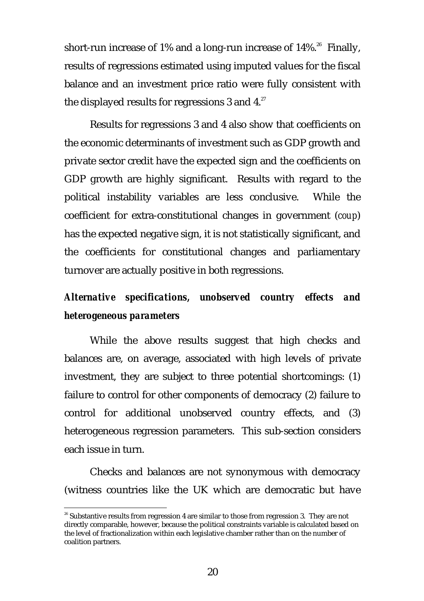short-run increase of 1% and a long-run increase of  $14\%$ .<sup>26</sup> Finally, results of regressions estimated using imputed values for the fiscal balance and an investment price ratio were fully consistent with the displayed results for regressions 3 and  $4.^{27}$ .

Results for regressions 3 and 4 also show that coefficients on the economic determinants of investment such as GDP growth and private sector credit have the expected sign and the coefficients on GDP growth are highly significant. Results with regard to the political instability variables are less conclusive. While the coefficient for extra-constitutional changes in government (*coup*) has the expected negative sign, it is not statistically significant, and the coefficients for constitutional changes and parliamentary turnover are actually positive in both regressions.

# *Alternative specifications, unobserved country effects and heterogeneous parameters*

While the above results suggest that high checks and balances are, on average, associated with high levels of private investment, they are subject to three potential shortcomings: (1) failure to control for other components of democracy (2) failure to control for additional unobserved country effects, and (3) heterogeneous regression parameters. This sub-section considers each issue in turn.

Checks and balances are not synonymous with democracy (witness countries like the UK which are democratic but have

 $26$  Substantive results from regression 4 are similar to those from regression 3. They are not directly comparable, however, because the political constraints variable is calculated based on the level of fractionalization within each legislative chamber rather than on the number of coalition partners.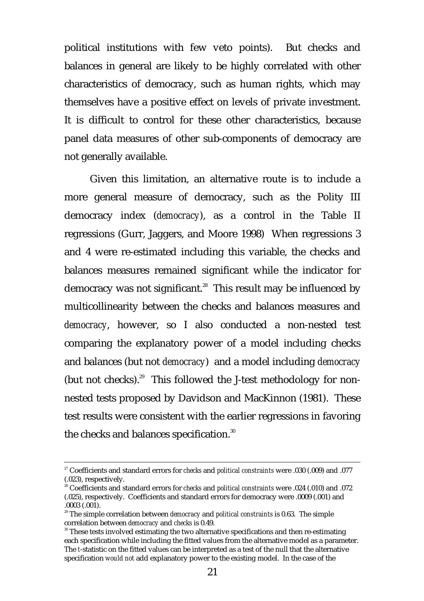political institutions with few veto points). But checks and balances in general are likely to be highly correlated with other characteristics of democracy, such as human rights, which may themselves have a positive effect on levels of private investment. It is difficult to control for these other characteristics, because panel data measures of other sub-components of democracy are not generally available.

Given this limitation, an alternative route is to include a more general measure of democracy, such as the Polity III democracy index (*democracy*), as a control in the Table II regressions (Gurr, Jaggers, and Moore 1998) When regressions 3 and 4 were re-estimated including this variable, the checks and balances measures remained significant while the indicator for democracy was not significant.<sup>28</sup> This result may be influenced by multicollinearity between the checks and balances measures and *democracy*, however, so I also conducted a non-nested test comparing the explanatory power of a model including checks and balances (but not *democracy*) and a model including *democracy* (but not checks).<sup>29</sup> This followed the J-test methodology for nonnested tests proposed by Davidson and MacKinnon (1981). These test results were consistent with the earlier regressions in favoring the checks and balances specification.<sup>30</sup>

<u> Andreas Andreas Andreas Andreas Andreas Andreas Andreas Andreas Andreas Andreas Andreas Andreas Andreas Andr</u>

<sup>27</sup> Coefficients and standard errors for *checks* and *political constraints* were .030 (.009) and .077 (.023), respectively.

<sup>28</sup> Coefficients and standard errors for *checks* and *political constraints* were .024 (.010) and .072 (.025), respectively. Coefficients and standard errors for democracy were .0009 (.001) and .0003 (.001).

<sup>29</sup> The simple correlation between *democracy* and *political constraints* is 0.63. The simple correlation between *democracy* and *checks* is 0.49.

<sup>&</sup>lt;sup>30</sup> These tests involved estimating the two alternative specifications and then re-estimating each specification while including the fitted values from the alternative model as a parameter. The *t*-statistic on the fitted values can be interpreted as a test of the null that the alternative specification *would not* add explanatory power to the existing model. In the case of the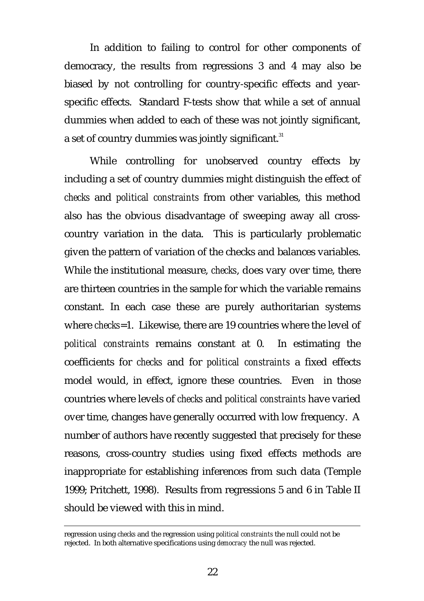In addition to failing to control for other components of democracy, the results from regressions 3 and 4 may also be biased by not controlling for country-specific effects and yearspecific effects. Standard F-tests show that while a set of annual dummies when added to each of these was not jointly significant, a set of country dummies was jointly significant.<sup>31</sup>

While controlling for unobserved country effects by including a set of country dummies might distinguish the effect of *checks* and *political constraints* from other variables, this method also has the obvious disadvantage of sweeping away all crosscountry variation in the data. This is particularly problematic given the pattern of variation of the checks and balances variables. While the institutional measure, *checks*, does vary over time, there are thirteen countries in the sample for which the variable remains constant. In each case these are purely authoritarian systems where *checks*=1. Likewise, there are 19 countries where the level of *political constraints* remains constant at 0. In estimating the coefficients for *checks* and for *political constraints* a fixed effects model would, in effect, ignore these countries. Even in those countries where levels of *checks* and *political constraints* have varied over time, changes have generally occurred with low frequency. A number of authors have recently suggested that precisely for these reasons, cross-country studies using fixed effects methods are inappropriate for establishing inferences from such data (Temple 1999; Pritchett, 1998). Results from regressions 5 and 6 in Table II should be viewed with this in mind.

<u> Alexandro de la contrada de la contrada de la contrada de la contrada de la contrada de la contrada de la co</u>

regression using *checks* and the regression using *political constraints* the null could not be rejected. In both alternative specifications using *democracy* the null was rejected.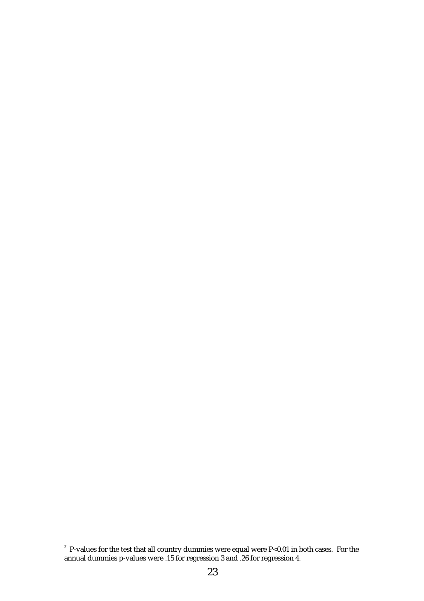#### <u> Alexandro de la contrada de la contrada de la contrada de la contrada de la contrada de la contrada de la co</u>  $31$  P-values for the test that all country dummies were equal were P $< 0.01$  in both cases. For the annual dummies p-values were .15 for regression 3 and .26 for regression 4.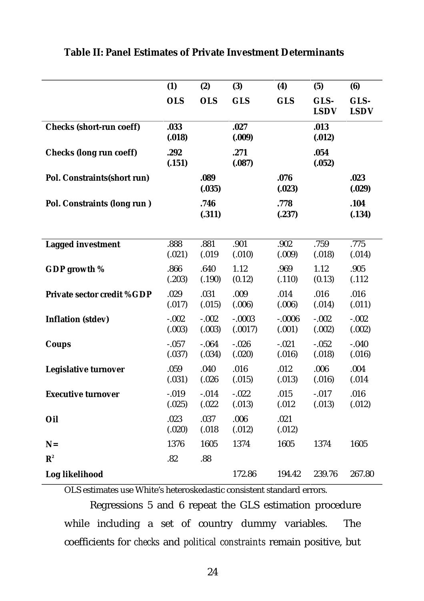|                                   | (1)                | (2)               | (3)                 | (4)                 | (5)                 | (6)                 |
|-----------------------------------|--------------------|-------------------|---------------------|---------------------|---------------------|---------------------|
|                                   | <b>OLS</b>         | <b>OLS</b>        | <b>GLS</b>          | <b>GLS</b>          | GLS-<br><b>LSDV</b> | GLS-<br><b>LSDV</b> |
| <b>Checks (short-run coeff)</b>   | .033<br>(.018)     |                   | .027<br>(.009)      |                     | .013<br>(.012)      |                     |
| <b>Checks (long run coeff)</b>    | .292<br>(.151)     |                   | .271<br>(.087)      |                     | .054<br>(.052)      |                     |
| Pol. Constraints(short run)       |                    | .089<br>(.035)    |                     | .076<br>(.023)      |                     | .023<br>(.029)      |
| Pol. Constraints (long run)       |                    | .746<br>(.311)    |                     | .778<br>(.237)      |                     | .104<br>(.134)      |
| <b>Lagged investment</b>          | .888<br>(.021)     | .881<br>(.019     | .901<br>(.010)      | .902<br>(.009)      | .759<br>(.018)      | .775<br>(.014)      |
| GDP growth %                      | .866<br>(.203)     | .640<br>(.190)    | 1.12<br>(0.12)      | .969<br>(.110)      | 1.12<br>(0.13)      | .905<br>(.112)      |
| <b>Private sector credit %GDP</b> | .029<br>(.017)     | .031<br>(.015)    | .009<br>(.006)      | .014<br>(.006)      | .016<br>(.014)      | .016<br>(.011)      |
| <b>Inflation (stdev)</b>          | $-.002$<br>(.003)  | $-.002$<br>(.003) | $-.0003$<br>(.0017) | $-0.0006$<br>(.001) | $-.002$<br>(.002)   | $-.002$<br>(.002)   |
| Coups                             | $-0.057$<br>(.037) | $-.064$<br>(.034) | $-0.026$<br>(.020)  | $-.021$<br>(.016)   | $-.052$<br>(.018)   | $-.040$<br>(.016)   |
| Legislative turnover              | .059<br>(.031)     | .040<br>(.026)    | .016<br>(.015)      | .012<br>(.013)      | .006<br>(.016)      | .004<br>(.014)      |
| <b>Executive turnover</b>         | $-.019$<br>(.025)  | $-.014$<br>(.022) | $-.022$<br>(.013)   | .015<br>(.012)      | $-.017$<br>(.013)   | .016<br>(.012)      |
| Oil                               | .023<br>(.020)     | .037<br>(.018)    | .006<br>(.012)      | .021<br>(.012)      |                     |                     |
| $N=$                              | 1376               | 1605              | 1374                | 1605                | 1374                | 1605                |
| ${\bf R}^2$                       | .82                | .88               |                     |                     |                     |                     |
| Log likelihood                    |                    |                   | 172.86              | 194.42              | 239.76              | 267.80              |

## **Table II: Panel Estimates of Private Investment Determinants**

OLS estimates use White's heteroskedastic consistent standard errors.

Regressions 5 and 6 repeat the GLS estimation procedure while including a set of country dummy variables. The coefficients for *checks* and *political constraints* remain positive, but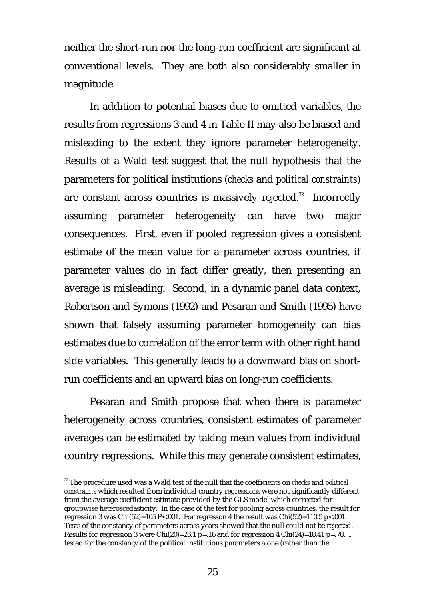neither the short-run nor the long-run coefficient are significant at conventional levels. They are both also considerably smaller in magnitude.

In addition to potential biases due to omitted variables, the results from regressions 3 and 4 in Table II may also be biased and misleading to the extent they ignore parameter heterogeneity. Results of a Wald test suggest that the null hypothesis that the parameters for political institutions (*checks* and *political constraints*) are constant across countries is massively rejected.<sup>32</sup> Incorrectly assuming parameter heterogeneity can have two major consequences. First, even if pooled regression gives a consistent estimate of the mean value for a parameter across countries, if parameter values do in fact differ greatly, then presenting an average is misleading. Second, in a dynamic panel data context, Robertson and Symons (1992) and Pesaran and Smith (1995) have shown that falsely assuming parameter homogeneity can bias estimates due to correlation of the error term with other right hand side variables. This generally leads to a downward bias on shortrun coefficients and an upward bias on long-run coefficients.

Pesaran and Smith propose that when there is parameter heterogeneity across countries, consistent estimates of parameter averages can be estimated by taking mean values from individual country regressions. While this may generate consistent estimates,

<sup>32</sup> The procedure used was a Wald test of the null that the coefficients on *checks* and *political constraints* which resulted from individual country regressions were not significantly different from the average coefficient estimate provided by the GLS model which corrected for groupwise heteroscedasticity. In the case of the test for pooling across countries, the result for regression 3 was Chi(52)=105 P<.001. For regresson 4 the result was Chi(52)=110.5 p<.001. Tests of the constancy of parameters across years showed that the null could not be rejected. Results for regression 3 were Chi(20)=26.1 p=.16 and for regression 4 Chi(24)=18.41 p=.78. I tested for the constancy of the political institutions parameters alone (rather than the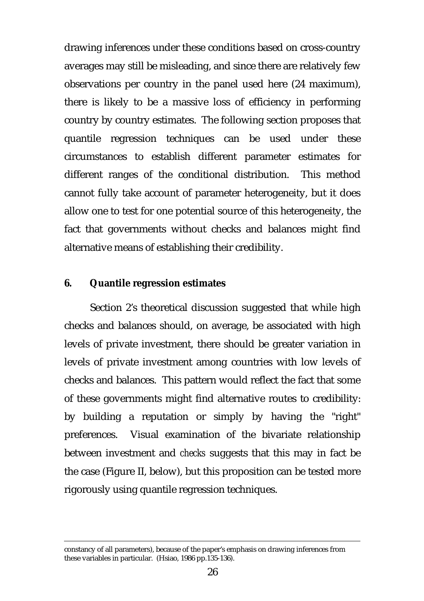drawing inferences under these conditions based on cross-country averages may still be misleading, and since there are relatively few observations per country in the panel used here (24 maximum), there is likely to be a massive loss of efficiency in performing country by country estimates. The following section proposes that quantile regression techniques can be used under these circumstances to establish different parameter estimates for different ranges of the conditional distribution. This method cannot fully take account of parameter heterogeneity, but it does allow one to test for one potential source of this heterogeneity, the fact that governments without checks and balances might find alternative means of establishing their credibility.

### **6. Quantile regression estimates**

Section 2's theoretical discussion suggested that while high checks and balances should, on average, be associated with high levels of private investment, there should be greater variation in levels of private investment among countries with low levels of checks and balances. This pattern would reflect the fact that some of these governments might find alternative routes to credibility: by building a reputation or simply by having the "right" preferences. Visual examination of the bivariate relationship between investment and *checks* suggests that this may in fact be the case (Figure II, below), but this proposition can be tested more rigorously using quantile regression techniques.

<u> Alexandro de la contrada de la contrada de la contrada de la contrada de la contrada de la contrada de la co</u>

constancy of all parameters), because of the paper's emphasis on drawing inferences from these variables in particular. (Hsiao, 1986 pp.135-136).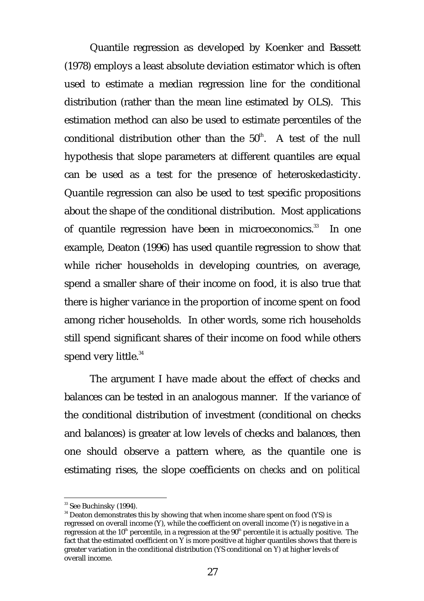Quantile regression as developed by Koenker and Bassett (1978) employs a least absolute deviation estimator which is often used to estimate a median regression line for the conditional distribution (rather than the mean line estimated by OLS). This estimation method can also be used to estimate percentiles of the conditional distribution other than the  $50<sup>th</sup>$ . A test of the null hypothesis that slope parameters at different quantiles are equal can be used as a test for the presence of heteroskedasticity. Quantile regression can also be used to test specific propositions about the shape of the conditional distribution. Most applications of quantile regression have been in microeconomics.<sup>33</sup> In one example, Deaton (1996) has used quantile regression to show that while richer households in developing countries, on average, spend a smaller share of their income on food, it is also true that there is higher variance in the proportion of income spent on food among richer households. In other words, some rich households still spend significant shares of their income on food while others spend very little.<sup>34</sup>

The argument I have made about the effect of checks and balances can be tested in an analogous manner. If the variance of the conditional distribution of investment (conditional on checks and balances) is greater at low levels of checks and balances, then one should observe a pattern where, as the quantile one is estimating rises, the slope coefficients on *checks* and on *political*

<u> Andrew Maria (1995)</u>

<sup>&</sup>lt;sup>33</sup> See Buchinsky (1994).

<sup>&</sup>lt;sup>34</sup> Deaton demonstrates this by showing that when income share spent on food (YS) is regressed on overall income (Y), while the coefficient on overall income (Y) is negative in a regression at the 10<sup>th</sup> percentile, in a regression at the  $90<sup>th</sup>$  percentile it is actually positive. The fact that the estimated coefficient on Y is more positive at higher quantiles shows that there is greater variation in the conditional distribution (YS conditional on Y) at higher levels of overall income.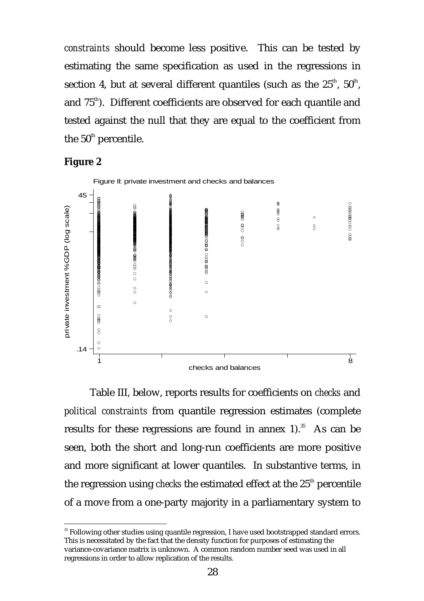*constraints* should become less positive. This can be tested by estimating the same specification as used in the regressions in section 4, but at several different quantiles (such as the  $25^{\text{th}}$ ,  $50^{\text{th}}$ , and  $75<sup>th</sup>$ . Different coefficients are observed for each quantile and tested against the null that they are equal to the coefficient from the  $50<sup>th</sup>$  percentile.





Table III, below, reports results for coefficients on *checks* and *political constraints* from quantile regression estimates (complete results for these regressions are found in annex  $1$ ).<sup>35</sup> As can be seen, both the short and long-run coefficients are more positive and more significant at lower quantiles. In substantive terms, in the regression using *checks* the estimated effect at the 25<sup>th</sup> percentile of a move from a one-party majority in a parliamentary system to

<u> Andrew Maria (1995)</u>

<sup>&</sup>lt;sup>35</sup> Following other studies using quantile regression, I have used bootstrapped standard errors. This is necessitated by the fact that the density function for purposes of estimating the variance-covariance matrix is unknown. A common random number seed was used in all regressions in order to allow replication of the results.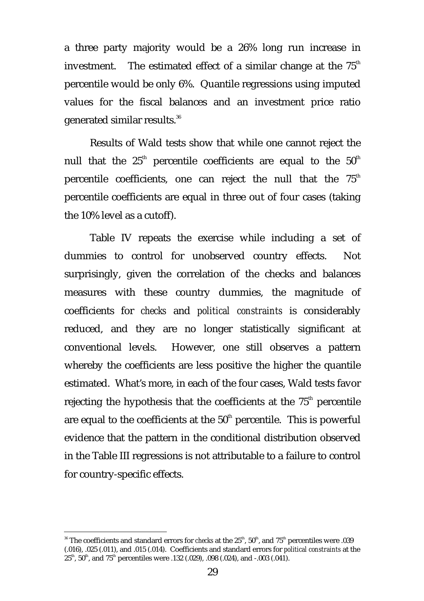a three party majority would be a 26% long run increase in investment. The estimated effect of a similar change at the  $75<sup>th</sup>$ percentile would be only 6%. Quantile regressions using imputed values for the fiscal balances and an investment price ratio generated similar results.36

Results of Wald tests show that while one cannot reject the null that the  $25<sup>th</sup>$  percentile coefficients are equal to the  $50<sup>th</sup>$ percentile coefficients, one can reject the null that the  $75<sup>th</sup>$ percentile coefficients are equal in three out of four cases (taking the 10% level as a cutoff).

Table IV repeats the exercise while including a set of dummies to control for unobserved country effects. Not surprisingly, given the correlation of the checks and balances measures with these country dummies, the magnitude of coefficients for *checks* and *political constraints* is considerably reduced, and they are no longer statistically significant at conventional levels. However, one still observes a pattern whereby the coefficients are less positive the higher the quantile estimated. What's more, in each of the four cases, Wald tests favor rejecting the hypothesis that the coefficients at the  $75<sup>th</sup>$  percentile are equal to the coefficients at the  $50<sup>th</sup>$  percentile. This is powerful evidence that the pattern in the conditional distribution observed in the Table III regressions is not attributable to a failure to control for country-specific effects.

<u> Andrew Maria (1995)</u>

 $^{36}$  The coefficients and standard errors for *checks* at the  $25^{\rm{th}}$ ,  $50^{\rm{th}}$ , and  $75^{\rm{th}}$  percentiles were .039 (.016), .025 (.011), and .015 (.014). Coefficients and standard errors for *political constraints* at the  $25<sup>th</sup>$ ,  $50<sup>th</sup>$ , and  $75<sup>th</sup>$  percentiles were .132 (.029), .098 (.024), and -.003 (.041).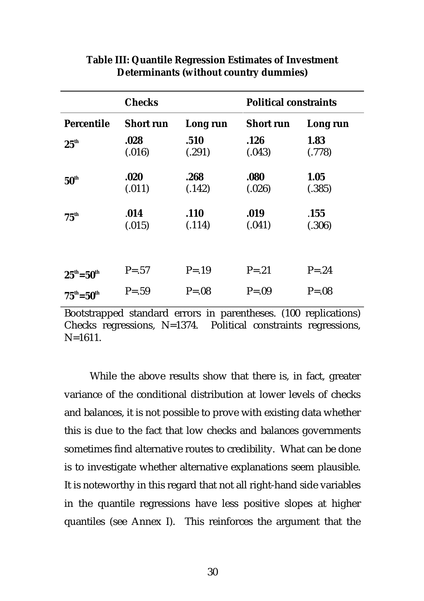|                             | <b>Checks</b>    |            | <b>Political constraints</b> |           |  |
|-----------------------------|------------------|------------|------------------------------|-----------|--|
| Percentile                  | <b>Short run</b> | Long run   | <b>Short run</b>             | Long run  |  |
| $25^{\text{th}}$            | .028             | .510       | .126                         | 1.83      |  |
|                             | (.016)           | (.291)     | (.043)                       | (.778)    |  |
| $50^{\text{th}}$            | .020             | .268       | .080                         | 1.05      |  |
|                             | (.011)           | (.142)     | (.026)                       | (.385)    |  |
| $75^{\text{th}}$            | .014             | .110       | .019                         | .155      |  |
|                             | (.015)           | (.114)     | (.041)                       | (.306)    |  |
| $25^{\rm th} = 50^{\rm th}$ | $P = .57$        | $P = .19$  | $P = .21$                    | $P = .24$ |  |
| $75^{\rm th} = 50^{\rm th}$ | $P = .59$        | $P = 0.08$ | $P = .09$                    | $P = .08$ |  |

### **Table III: Quantile Regression Estimates of Investment Determinants (without country dummies)**

Bootstrapped standard errors in parentheses. (100 replications) Checks regressions, N=1374. Political constraints regressions,  $N=1611$ .

While the above results show that there is, in fact, greater variance of the conditional distribution at lower levels of checks and balances, it is not possible to prove with existing data whether this is due to the fact that low checks and balances governments sometimes find alternative routes to credibility. What can be done is to investigate whether alternative explanations seem plausible. It is noteworthy in this regard that not all right-hand side variables in the quantile regressions have less positive slopes at higher quantiles (see Annex I). This reinforces the argument that the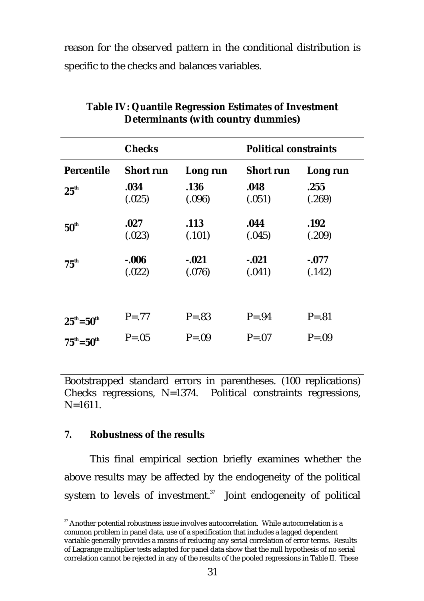reason for the observed pattern in the conditional distribution is specific to the checks and balances variables.

|                             | <b>Checks</b>      |                   | <b>Political constraints</b> |                    |  |
|-----------------------------|--------------------|-------------------|------------------------------|--------------------|--|
| <b>Percentile</b>           | <b>Short run</b>   | Long run          | <b>Short run</b>             | Long run           |  |
| $25^{\text{th}}$            | .034<br>(.025)     | .136<br>(.096)    | .048<br>(.051)               | .255<br>(.269)     |  |
| $50^{\text{th}}$            | .027<br>(.023)     | .113<br>(.101)    | .044<br>(.045)               | .192<br>(.209)     |  |
| $75^{\text{th}}$            | $-0.006$<br>(.022) | $-.021$<br>(.076) | $-.021$<br>(.041)            | $-0.077$<br>(.142) |  |
|                             |                    |                   |                              |                    |  |
| $25^{\rm th} = 50^{\rm th}$ | $P = .77$          | $P = .83$         | $P = .94$                    | $P = .81$          |  |
| $75^{\rm th} = 50^{\rm th}$ | $P = .05$          | $P = .09$         | $P = 07$                     | $P = .09$          |  |

### **Table IV: Quantile Regression Estimates of Investment Determinants (with country dummies)**

Bootstrapped standard errors in parentheses. (100 replications) Checks regressions, N=1374. Political constraints regressions,  $N=1611$ .

### **7. Robustness of the results**

This final empirical section briefly examines whether the above results may be affected by the endogeneity of the political system to levels of investment.<sup>37</sup> Joint endogeneity of political

 $\emph{ }^{37}$  Another potential robustness issue involves autocorrelation. While autocorrelation is a common problem in panel data, use of a specification that includes a lagged dependent variable generally provides a means of reducing any serial correlation of error terms. Results of Lagrange multiplier tests adapted for panel data show that the null hypothesis of no serial correlation cannot be rejected in any of the results of the pooled regressions in Table II. These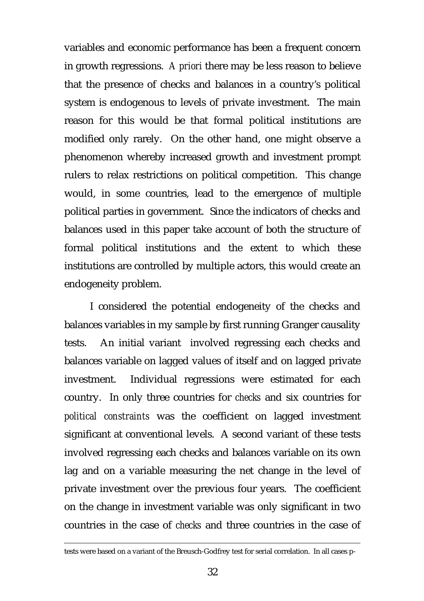variables and economic performance has been a frequent concern in growth regressions. *A priori* there may be less reason to believe that the presence of checks and balances in a country's political system is endogenous to levels of private investment. The main reason for this would be that formal political institutions are modified only rarely. On the other hand, one might observe a phenomenon whereby increased growth and investment prompt rulers to relax restrictions on political competition. This change would, in some countries, lead to the emergence of multiple political parties in government. Since the indicators of checks and balances used in this paper take account of both the structure of formal political institutions and the extent to which these institutions are controlled by multiple actors, this would create an endogeneity problem.

I considered the potential endogeneity of the checks and balances variables in my sample by first running Granger causality tests. An initial variant involved regressing each checks and balances variable on lagged values of itself and on lagged private investment. Individual regressions were estimated for each country. In only three countries for *checks* and six countries for *political constraints* was the coefficient on lagged investment significant at conventional levels. A second variant of these tests involved regressing each checks and balances variable on its own lag and on a variable measuring the net change in the level of private investment over the previous four years. The coefficient on the change in investment variable was only significant in two countries in the case of *checks* and three countries in the case of

<sup>&</sup>lt;u> Alexandro de la contrada de la contrada de la contrada de la contrada de la contrada de la contrada de la co</u> tests were based on a variant of the Breusch-Godfrey test for serial correlation. In all cases p-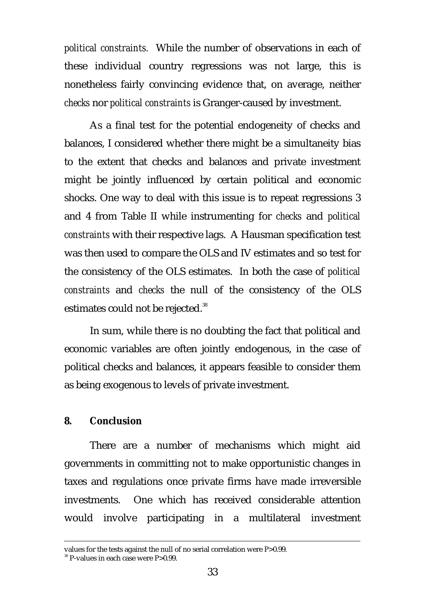*political constraints.* While the number of observations in each of these individual country regressions was not large, this is nonetheless fairly convincing evidence that, on average, neither *checks* nor *political constraints* is Granger-caused by investment.

As a final test for the potential endogeneity of checks and balances, I considered whether there might be a simultaneity bias to the extent that checks and balances and private investment might be jointly influenced by certain political and economic shocks. One way to deal with this issue is to repeat regressions 3 and 4 from Table II while instrumenting for *checks* and *political constraints* with their respective lags. A Hausman specification test was then used to compare the OLS and IV estimates and so test for the consistency of the OLS estimates. In both the case of *political constraints* and *checks* the null of the consistency of the OLS estimates could not be rejected.<sup>38</sup>

In sum, while there is no doubting the fact that political and economic variables are often jointly endogenous, in the case of political checks and balances, it appears feasible to consider them as being exogenous to levels of private investment.

### **8. Conclusion**

There are a number of mechanisms which might aid governments in committing not to make opportunistic changes in taxes and regulations once private firms have made irreversible investments. One which has received considerable attention would involve participating in a multilateral investment

<u> Alexandro de la contrada de la contrada de la contrada de la contrada de la contrada de la contrada de la co</u>

values for the tests against the null of no serial correlation were P>0.99.

<sup>&</sup>lt;sup>38</sup> P-values in each case were P>0.99.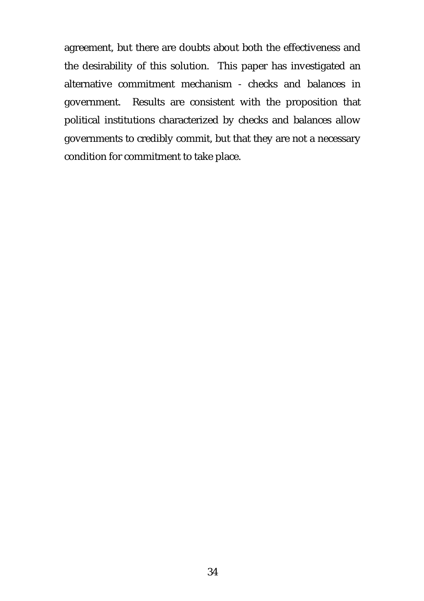agreement, but there are doubts about both the effectiveness and the desirability of this solution. This paper has investigated an alternative commitment mechanism - checks and balances in government. Results are consistent with the proposition that political institutions characterized by checks and balances allow governments to credibly commit, but that they are not a necessary condition for commitment to take place.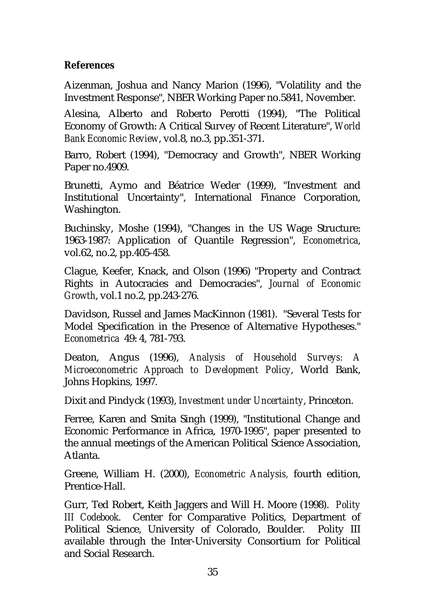## **References**

Aizenman, Joshua and Nancy Marion (1996), "Volatility and the Investment Response", NBER Working Paper no.5841, November.

Alesina, Alberto and Roberto Perotti (1994), "The Political Economy of Growth: A Critical Survey of Recent Literature", *World Bank Economic Review*, vol.8, no.3, pp.351-371.

Barro, Robert (1994), "Democracy and Growth", NBER Working Paper no.4909.

Brunetti, Aymo and Béatrice Weder (1999), "Investment and Institutional Uncertainty", International Finance Corporation, Washington.

Buchinsky, Moshe (1994), "Changes in the US Wage Structure: 1963-1987: Application of Quantile Regression", *Econometrica*, vol.62, no.2, pp.405-458.

Clague, Keefer, Knack, and Olson (1996) "Property and Contract Rights in Autocracies and Democracies", *Journal of Economic Growth*, vol.1 no.2, pp.243-276.

Davidson, Russel and James MacKinnon (1981). "Several Tests for Model Specification in the Presence of Alternative Hypotheses." *Econometrica* 49: 4, 781-793.

Deaton, Angus (1996), *Analysis of Household Surveys: A Microeconometric Approach to Development Policy*, World Bank, Johns Hopkins, 1997.

Dixit and Pindyck (1993), *Investment under Uncertainty*, Princeton.

Ferree, Karen and Smita Singh (1999), "Institutional Change and Economic Performance in Africa, 1970-1995", paper presented to the annual meetings of the American Political Science Association, Atlanta.

Greene, William H. (2000), *Econometric Analysis,* fourth edition, Prentice-Hall.

Gurr, Ted Robert, Keith Jaggers and Will H. Moore (1998). *Polity III Codebook*. Center for Comparative Politics, Department of Political Science, University of Colorado, Boulder. Polity III available through the Inter-University Consortium for Political and Social Research.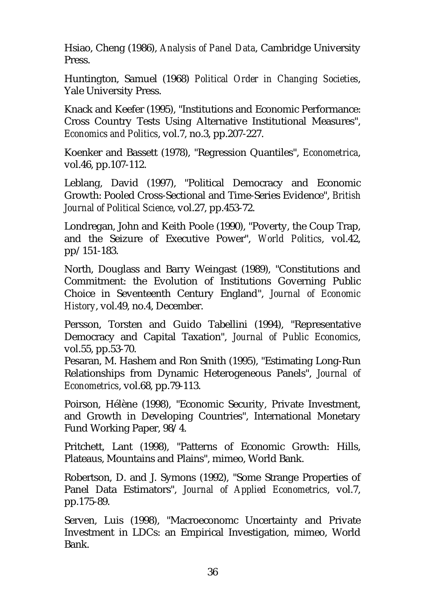Hsiao, Cheng (1986), *Analysis of Panel Data*, Cambridge University Press.

Huntington, Samuel (1968) *Political Order in Changing Societies*, Yale University Press.

Knack and Keefer (1995), "Institutions and Economic Performance: Cross Country Tests Using Alternative Institutional Measures", *Economics and Politics*, vol.7, no.3, pp.207-227.

Koenker and Bassett (1978), "Regression Quantiles", *Econometrica*, vol.46, pp.107-112.

Leblang, David (1997), "Political Democracy and Economic Growth: Pooled Cross-Sectional and Time-Series Evidence", *British Journal of Political Science*, vol.27, pp.453-72.

Londregan, John and Keith Poole (1990), "Poverty, the Coup Trap, and the Seizure of Executive Power", *World Politics*, vol.42, pp/151-183.

North, Douglass and Barry Weingast (1989), "Constitutions and Commitment: the Evolution of Institutions Governing Public Choice in Seventeenth Century England", *Journal of Economic History*, vol.49, no.4, December.

Persson, Torsten and Guido Tabellini (1994), "Representative Democracy and Capital Taxation", *Journal of Public Economics*, vol.55, pp.53-70.

Pesaran, M. Hashem and Ron Smith (1995), "Estimating Long-Run Relationships from Dynamic Heterogeneous Panels", *Journal of Econometrics*, vol.68, pp.79-113.

Poirson, Hélène (1998), "Economic Security, Private Investment, and Growth in Developing Countries", International Monetary Fund Working Paper, 98/4.

Pritchett, Lant (1998), "Patterns of Economic Growth: Hills, Plateaus, Mountains and Plains", mimeo, World Bank.

Robertson, D. and J. Symons (1992), "Some Strange Properties of Panel Data Estimators", *Journal of Applied Econometrics*, vol.7, pp.175-89.

Serven, Luis (1998), "Macroeconomc Uncertainty and Private Investment in LDCs: an Empirical Investigation, mimeo, World Bank.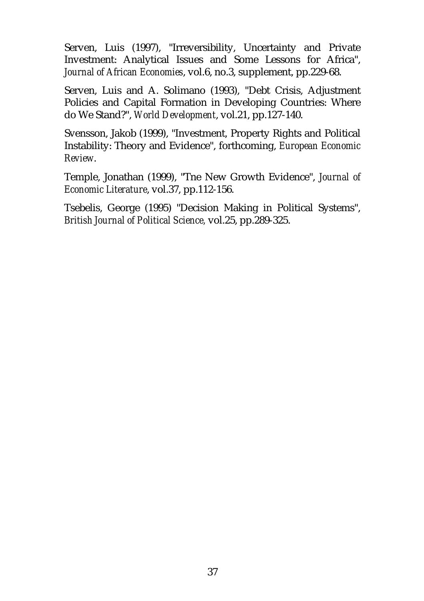Serven, Luis (1997), "Irreversibility, Uncertainty and Private Investment: Analytical Issues and Some Lessons for Africa", *Journal of African Economies*, vol.6, no.3, supplement, pp.229-68.

Serven, Luis and A. Solimano (1993), "Debt Crisis, Adjustment Policies and Capital Formation in Developing Countries: Where do We Stand?", *World Development*, vol.21, pp.127-140.

Svensson, Jakob (1999), "Investment, Property Rights and Political Instability: Theory and Evidence", forthcoming, *European Economic Review*.

Temple, Jonathan (1999), "Tne New Growth Evidence", *Journal of Economic Literature*, vol.37, pp.112-156.

Tsebelis, George (1995) "Decision Making in Political Systems", *British Journal of Political Science,* vol.25, pp.289-325.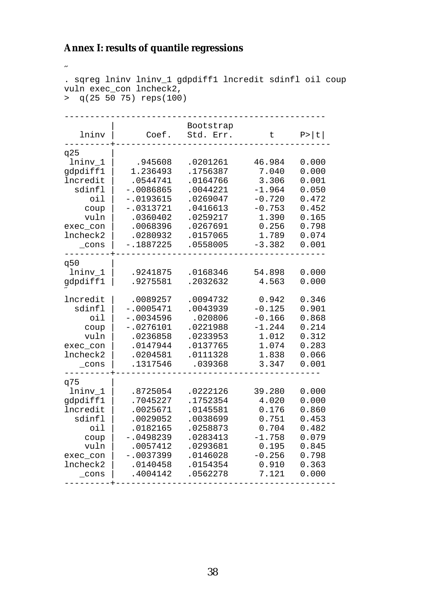### **Annex I: results of quantile regressions**

```
\overline{a}. sqreg lninv lninv_1 gdpdiff1 lncredit sdinfl oil coup
vuln exec_con lncheck2,
> q(25 50 75) reps(100)
               ---------------------------------------------------
                    | Bootstrap
   lninv | Coef. Std. Err. t P>|t|
         ---------+------------------------------------------
q25 |
 lninv_1 | .945608 .0201261 46.984 0.000
gdpdiff1 | 1.236493 .1756387 7.040 0.000
lncredit | .0544741 .0164766 3.306 0.001
 sdinfl | -.0086865 .0044221 -1.964 0.050
 oil | -.0193615 .0269047 -0.720 0.472
 coup | -.0313721 .0416613 -0.753 0.452
 vuln | .0360402 .0259217 1.390 0.165
exec_con | .0068396 .0267691 0.256 0.798
lncheck2 | .0280932 .0157065 1.789 0.074
 _cons | -.1887225 .0558005 -3.382 0.001
---------+-----------------------------------------
q50 |
 lninv_1 | .9241875 .0168346 54.898 0.000
gdpdiff1 | .9275581 .2032632 4.563 0.000
˝
lncredit | .0089257 .0094732 0.942 0.346
 sdinfl | -.0005471 .0043939 -0.125 0.901
 oil | -.0034596 .020806 -0.166 0.868
 coup | -.0276101 .0221988 -1.244 0.214
 vuln | .0236858 .0233953 1.012 0.312
exec_con | .0147944 .0137765 1.074 0.283
lncheck2 | .0204581 .0111328 1.838 0.066
   _cons | .1317546 .039368 3.347 0.001
---------+----------------------------------------
q75 |
 lninv_1 | .8725054 .0222126 39.280 0.000
gdpdiff1 | .7045227 .1752354 4.020 0.000
lncredit | .0025671 .0145581 0.176 0.860
 sdinfl | .0029052 .0038699 0.751 0.453
 oil | .0182165 .0258873 0.704 0.482
 coup | -.0498239 .0283413 -1.758 0.079
 vuln | .0057412 .0293681 0.195 0.845
exec_con | -.0037399 .0146028 -0.256 0.798
lncheck2 | .0140458 .0154354 0.910 0.363
 _cons | .4004142 .0562278 7.121 0.000
---------+-------------------------------------------
```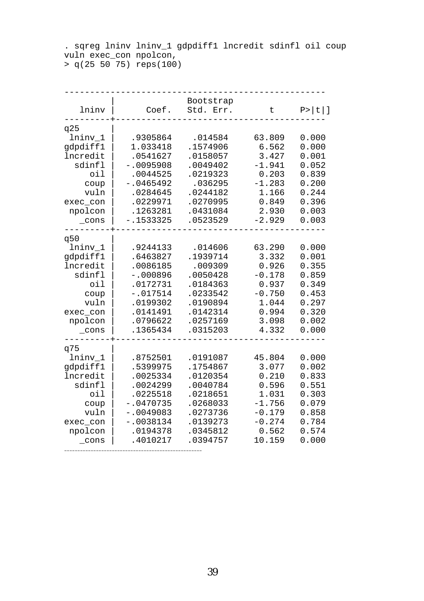. sqreg lninv lninv\_1 gdpdiff1 lncredit sdinfl oil coup vuln exec\_con npolcon, > q(25 50 75) reps(100)

| lninv                                                                                                             | Coef.                                                                                                                         | Bootstrap<br>Std.<br>Err.                                                                                            | $\sf t$                                                                                           | $P >  t $ ]                                                                            |
|-------------------------------------------------------------------------------------------------------------------|-------------------------------------------------------------------------------------------------------------------------------|----------------------------------------------------------------------------------------------------------------------|---------------------------------------------------------------------------------------------------|----------------------------------------------------------------------------------------|
| q25<br>lninv_1<br>gdpdiff1<br>lncredit<br>sdinfl<br>oil<br>coup<br>vuln<br>exec_con<br>npolcon<br>$\_cons$        | .9305864<br>1.033418<br>.0541627<br>$-.0095908$<br>.0044525<br>$-.0465492$<br>.0284645<br>.0229971<br>.1263281<br>$-.1533325$ | .014584<br>.1574906<br>.0158057<br>.0049402<br>.0219323<br>.036295<br>.0244182<br>.0270995<br>.0431084<br>.0523529   | 63.809<br>6.562<br>3.427<br>$-1.941$<br>0.203<br>$-1.283$<br>1.166<br>0.849<br>2.930<br>$-2.929$  | 0.000<br>0.000<br>0.001<br>0.052<br>0.839<br>0.200<br>0.244<br>0.396<br>0.003<br>0.003 |
| q50<br>lninv_1<br>gdpdiff1<br>lncredit<br>sdinfl<br>oil<br>coup<br>vuln<br>exec_con<br>npolcon<br>$_{\rm \_cons}$ | .9244133<br>.6463827<br>.0086185<br>$-.000896$<br>.0172731<br>$-.017514$<br>.0199302<br>.0141491<br>.0796622<br>.1365434      | .014606<br>.1939714<br>.009309<br>.0050428<br>.0184363<br>.0233542<br>.0190894<br>.0142314<br>.0257169<br>.0315203   | 63.290<br>3.332<br>0.926<br>$-0.178$<br>0.937<br>$-0.750$<br>1.044<br>0.994<br>3.098<br>4.332     | 0.000<br>0.001<br>0.355<br>0.859<br>0.349<br>0.453<br>0.297<br>0.320<br>0.002<br>0.000 |
| q75<br>lninv_1<br>gdpdiff1<br>lncredit<br>sdinfl<br>oil<br>coup<br>vuln<br>exec_con<br>npolcon<br>cons            | .8752501<br>.5399975<br>.0025334<br>.0024299<br>.0225518<br>$-.0470735$<br>$-.0049083$<br>$-.0038134$<br>.0194378<br>.4010217 | .0191087<br>.1754867<br>.0120354<br>.0040784<br>.0218651<br>.0268033<br>.0273736<br>.0139273<br>.0345812<br>.0394757 | 45.804<br>3.077<br>0.210<br>0.596<br>1.031<br>$-1.756$<br>$-0.179$<br>$-0.274$<br>0.562<br>10.159 | 0.000<br>0.002<br>0.833<br>0.551<br>0.303<br>0.079<br>0.858<br>0.784<br>0.574<br>0.000 |

----------------------------------------------------